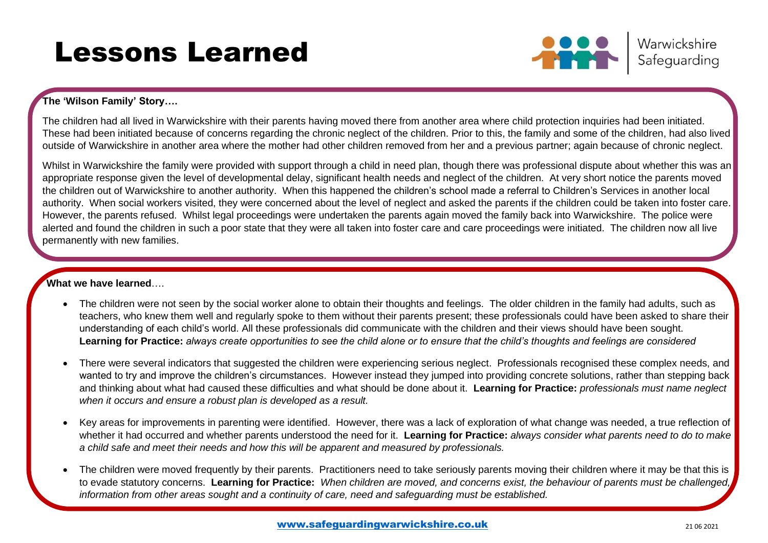## Lessons Learned



Warwickshire Safeguarding

### **The 'Wilson Family' Story….**

The children had all lived in Warwickshire with their parents having moved there from another area where child protection inquiries had been initiated. These had been initiated because of concerns regarding the chronic neglect of the children. Prior to this, the family and some of the children, had also lived outside of Warwickshire in another area where the mother had other children removed from her and a previous partner; again because of chronic neglect.

Whilst in Warwickshire the family were provided with support through a child in need plan, though there was professional dispute about whether this was an appropriate response given the level of developmental delay, significant health needs and neglect of the children. At very short notice the parents moved the children out of Warwickshire to another authority. When this happened the children's school made a referral to Children's Services in another local authority. When social workers visited, they were concerned about the level of neglect and asked the parents if the children could be taken into foster care. However, the parents refused. Whilst legal proceedings were undertaken the parents again moved the family back into Warwickshire. The police were alerted and found the children in such a poor state that they were all taken into foster care and care proceedings were initiated. The children now all live permanently with new families.

### **What we have learned**….

- The children were not seen by the social worker alone to obtain their thoughts and feelings. The older children in the family had adults, such as teachers, who knew them well and regularly spoke to them without their parents present; these professionals could have been asked to share their understanding of each child's world. All these professionals did communicate with the children and their views should have been sought. **Learning for Practice:** *always create opportunities to see the child alone or to ensure that the child's thoughts and feelings are considered*
- There were several indicators that suggested the children were experiencing serious neglect. Professionals recognised these complex needs, and wanted to try and improve the children's circumstances. However instead they jumped into providing concrete solutions, rather than stepping back and thinking about what had caused these difficulties and what should be done about it. **Learning for Practice:** *professionals must name neglect when it occurs and ensure a robust plan is developed as a result.*
- Key areas for improvements in parenting were identified. However, there was a lack of exploration of what change was needed, a true reflection of whether it had occurred and whether parents understood the need for it. **Learning for Practice:** *always consider what parents need to do to make a child safe and meet their needs and how this will be apparent and measured by professionals.*
- The children were moved frequently by their parents. Practitioners need to take seriously parents moving their children where it may be that this is to evade statutory concerns. **Learning for Practice:** *When children are moved, and concerns exist, the behaviour of parents must be challenged, information from other areas sought and a continuity of care, need and safeguarding must be established.*